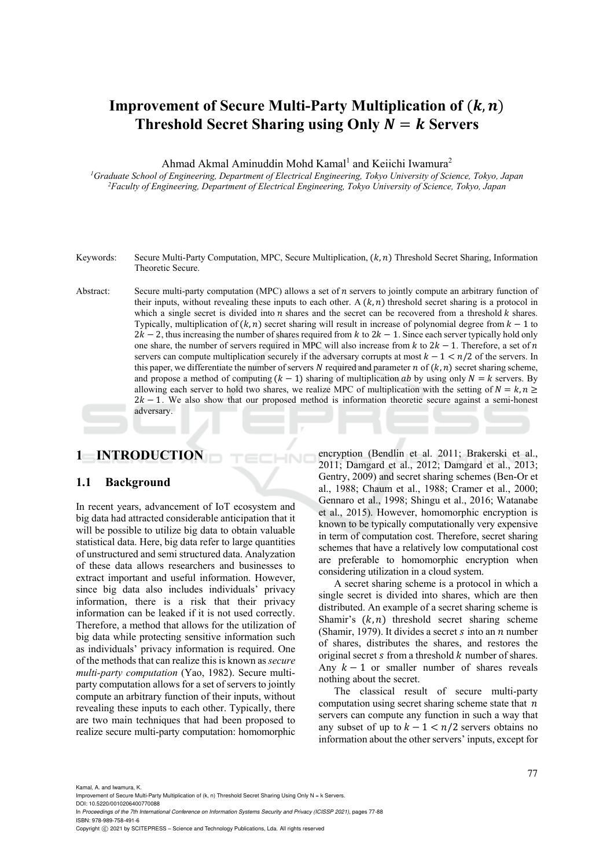# **Improvement of Secure Multi-Party Multiplication of**  $(k, n)$ **Threshold Secret Sharing using Only**  $N = k$  **Servers**

Ahmad Akmal Aminuddin Mohd Kamal<sup>1</sup> and Keiichi Iwamura<sup>2</sup>

*1Graduate School of Engineering, Department of Electrical Engineering, Tokyo University of Science, Tokyo, Japan 2 Faculty of Engineering, Department of Electrical Engineering, Tokyo University of Science, Tokyo, Japan* 

- Keywords: Secure Multi-Party Computation, MPC, Secure Multiplication,  $(k, n)$  Threshold Secret Sharing, Information Theoretic Secure.
- Abstract: Secure multi-party computation (MPC) allows a set of  $n$  servers to jointly compute an arbitrary function of their inputs, without revealing these inputs to each other. A  $(k, n)$  threshold secret sharing is a protocol in which a single secret is divided into  $n$  shares and the secret can be recovered from a threshold  $k$  shares. Typically, multiplication of  $(k, n)$  secret sharing will result in increase of polynomial degree from  $k - 1$  to  $2k - 2$ , thus increasing the number of shares required from k to  $2k - 1$ . Since each server typically hold only one share, the number of servers required in MPC will also increase from  $k$  to  $2k - 1$ . Therefore, a set of n servers can compute multiplication securely if the adversary corrupts at most  $k - 1 \le n/2$  of the servers. In this paper, we differentiate the number of servers N required and parameter  $n$  of  $(k, n)$  secret sharing scheme, and propose a method of computing  $(k - 1)$  sharing of multiplication *ab* by using only  $N = k$  servers. By allowing each server to hold two shares, we realize MPC of multiplication with the setting of  $N = k, n \geq 1$  $2k - 1$ . We also show that our proposed method is information theoretic secure against a semi-honest adversary.

# **1 INTRODUCTION**

### **1.1 Background**

In recent years, advancement of IoT ecosystem and big data had attracted considerable anticipation that it will be possible to utilize big data to obtain valuable statistical data. Here, big data refer to large quantities of unstructured and semi structured data. Analyzation of these data allows researchers and businesses to extract important and useful information. However, since big data also includes individuals' privacy information, there is a risk that their privacy information can be leaked if it is not used correctly. Therefore, a method that allows for the utilization of big data while protecting sensitive information such as individuals' privacy information is required. One of the methods that can realize this is known as *secure multi-party computation* (Yao, 1982). Secure multiparty computation allows for a set of servers to jointly compute an arbitrary function of their inputs, without revealing these inputs to each other. Typically, there are two main techniques that had been proposed to realize secure multi-party computation: homomorphic encryption (Bendlin et al. 2011; Brakerski et al., 2011; Damgard et al., 2012; Damgard et al., 2013; Gentry, 2009) and secret sharing schemes (Ben-Or et al., 1988; Chaum et al., 1988; Cramer et al., 2000; Gennaro et al., 1998; Shingu et al., 2016; Watanabe et al., 2015). However, homomorphic encryption is known to be typically computationally very expensive in term of computation cost. Therefore, secret sharing schemes that have a relatively low computational cost are preferable to homomorphic encryption when considering utilization in a cloud system.

A secret sharing scheme is a protocol in which a single secret is divided into shares, which are then distributed. An example of a secret sharing scheme is Shamir's  $(k, n)$  threshold secret sharing scheme (Shamir, 1979). It divides a secret  $s$  into an  $n$  number of shares, distributes the shares, and restores the original secret  $s$  from a threshold  $k$  number of shares. Any  $k-1$  or smaller number of shares reveals nothing about the secret.

The classical result of secure multi-party computation using secret sharing scheme state that  $n$ servers can compute any function in such a way that any subset of up to  $k - 1 < n/2$  servers obtains no information about the other servers' inputs, except for

Kamal, A. and Iwamura, K.

DOI: 10.5220/0010206400770088 In *Proceedings of the 7th International Conference on Information Systems Security and Privacy (ICISSP 2021)*, pages 77-88 ISBN: 978-989-758-491-6

Copyright C 2021 by SCITEPRESS - Science and Technology Publications, Lda. All rights reserved

Improvement of Secure Multi-Party Multiplication of (k, n) Threshold Secret Sharing Using Only N = k Servers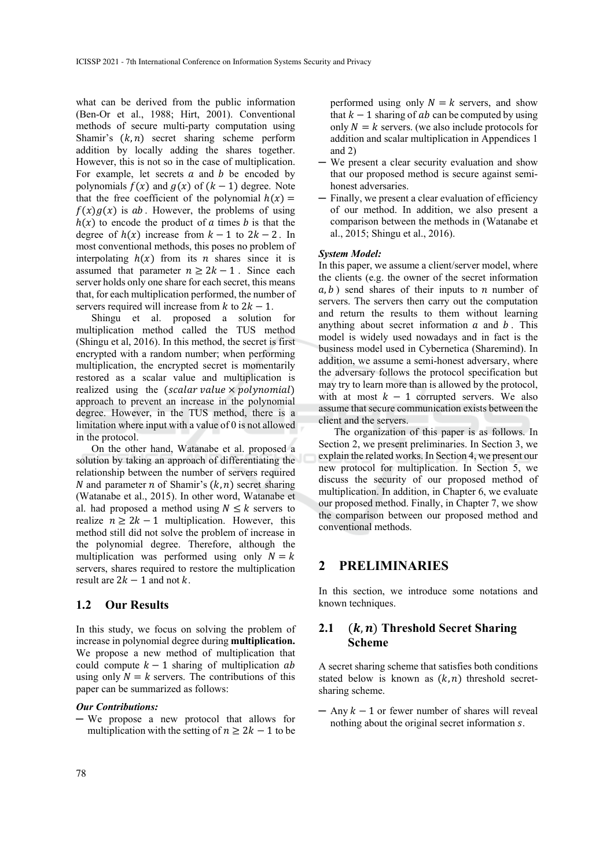what can be derived from the public information (Ben-Or et al., 1988; Hirt, 2001). Conventional methods of secure multi-party computation using Shamir's  $(k, n)$  secret sharing scheme perform addition by locally adding the shares together. However, this is not so in the case of multiplication. For example, let secrets  $a$  and  $b$  be encoded by polynomials  $f(x)$  and  $g(x)$  of  $(k - 1)$  degree. Note that the free coefficient of the polynomial  $h(x) =$  $f(x)g(x)$  is ab. However, the problems of using  $h(x)$  to encode the product of a times b is that the degree of  $h(x)$  increase from  $k - 1$  to  $2k - 2$ . In most conventional methods, this poses no problem of interpolating  $h(x)$  from its *n* shares since it is assumed that parameter  $n \ge 2k - 1$ . Since each server holds only one share for each secret, this means that, for each multiplication performed, the number of servers required will increase from  $k$  to  $2k - 1$ .

Shingu et al. proposed a solution for multiplication method called the TUS method (Shingu et al, 2016). In this method, the secret is first encrypted with a random number; when performing multiplication, the encrypted secret is momentarily restored as a scalar value and multiplication is realized using the (scalar value  $\times$  polynomial) approach to prevent an increase in the polynomial degree. However, in the TUS method, there is a limitation where input with a value of 0 is not allowed in the protocol.

On the other hand, Watanabe et al. proposed a solution by taking an approach of differentiating the relationship between the number of servers required N and parameter *n* of Shamir's  $(k, n)$  secret sharing (Watanabe et al., 2015). In other word, Watanabe et al. had proposed a method using  $N \leq k$  servers to realize  $n \geq 2k - 1$  multiplication. However, this method still did not solve the problem of increase in the polynomial degree. Therefore, although the multiplication was performed using only  $N = k$ servers, shares required to restore the multiplication result are  $2k - 1$  and not k.

### **1.2 Our Results**

In this study, we focus on solving the problem of increase in polynomial degree during **multiplication.**  We propose a new method of multiplication that could compute  $k-1$  sharing of multiplication ab using only  $N = k$  servers. The contributions of this paper can be summarized as follows:

#### *Our Contributions:*

─ We propose a new protocol that allows for multiplication with the setting of  $n \geq 2k - 1$  to be performed using only  $N = k$  servers, and show that  $k-1$  sharing of  $ab$  can be computed by using only  $N = k$  servers. (we also include protocols for addition and scalar multiplication in Appendices 1 and 2)

- ─ We present a clear security evaluation and show that our proposed method is secure against semihonest adversaries.
- ─ Finally, we present a clear evaluation of efficiency of our method. In addition, we also present a comparison between the methods in (Watanabe et al., 2015; Shingu et al., 2016).

#### *System Model:*

In this paper, we assume a client/server model, where the clients (e.g. the owner of the secret information  $(a, b)$  send shares of their inputs to *n* number of servers. The servers then carry out the computation and return the results to them without learning anything about secret information  $\alpha$  and  $\beta$ . This model is widely used nowadays and in fact is the business model used in Cybernetica (Sharemind). In addition, we assume a semi-honest adversary, where the adversary follows the protocol specification but may try to learn more than is allowed by the protocol, with at most  $k - 1$  corrupted servers. We also assume that secure communication exists between the client and the servers.

The organization of this paper is as follows. In Section 2, we present preliminaries. In Section 3, we explain the related works. In Section 4, we present our new protocol for multiplication. In Section 5, we discuss the security of our proposed method of multiplication. In addition, in Chapter 6, we evaluate our proposed method. Finally, in Chapter 7, we show the comparison between our proposed method and conventional methods.

## **2 PRELIMINARIES**

In this section, we introduce some notations and known techniques.

## **2.1** (*k, n*) Threshold Secret Sharing **Scheme**

A secret sharing scheme that satisfies both conditions stated below is known as  $(k, n)$  threshold secretsharing scheme.

 $-$  Any  $k - 1$  or fewer number of shares will reveal nothing about the original secret information s.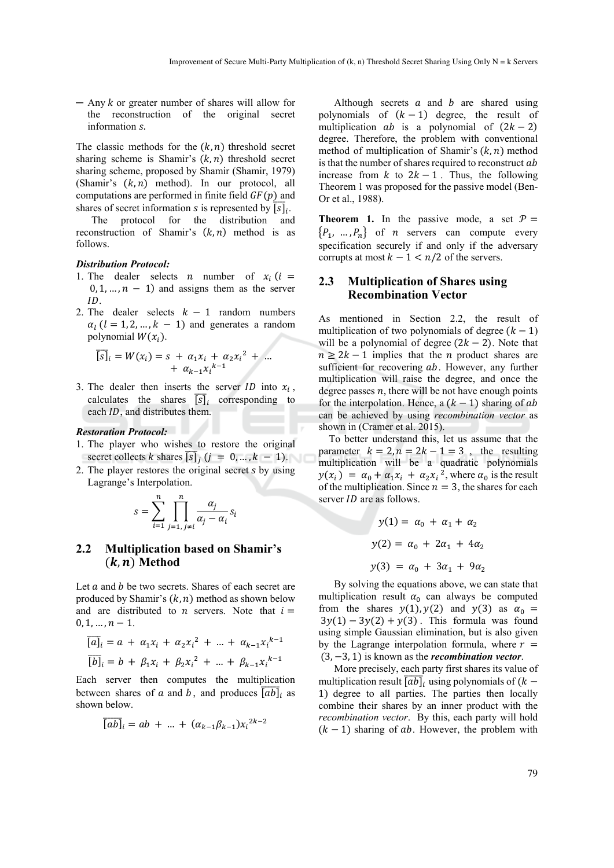$-$  Any  $k$  or greater number of shares will allow for the reconstruction of the original secret information s.

The classic methods for the  $(k, n)$  threshold secret sharing scheme is Shamir's  $(k, n)$  threshold secret sharing scheme, proposed by Shamir (Shamir, 1979) (Shamir's  $(k, n)$  method). In our protocol, all computations are performed in finite field  $GF(p)$  and shares of secret information *s* is represented by  $\overline{[s]}_i$ .

The protocol for the distribution and reconstruction of Shamir's  $(k, n)$  method is as follows.

### *Distribution Protocol:*

- 1. The dealer selects *n* number of  $x_i$  (*i* =  $0, 1, \ldots, n - 1$  and assigns them as the server ID.
- 2. The dealer selects  $k 1$  random numbers  $\alpha_l$  ( $l = 1, 2, ..., k - 1$ ) and generates a random polynomial  $W(x_i)$ .

$$
\overline{[s]}_i = W(x_i) = s + \alpha_1 x_i + \alpha_2 x_i^2 + \dots
$$

$$
+ \alpha_{k-1} x_i^{k-1}
$$

3. The dealer then inserts the server  $ID$  into  $x_i$ , calculates the shares  $\overline{[s]}_i$  corresponding to each *ID*, and distributes them.

## *Restoration Protocol:*

- 1. The player who wishes to restore the original secret collects k shares  $\overline{[s]}_j$   $(j = 0, ..., k - 1)$ .
- 2. The player restores the original secret  $s$  by using Lagrange's Interpolation.

$$
s = \sum_{i=1}^{n} \prod_{j=1, j \neq i}^{n} \frac{\alpha_j}{\alpha_j - \alpha_i} s_i
$$

## **2.2 Multiplication based on Shamir's**   $(k, n)$  Method

Let  $a$  and  $b$  be two secrets. Shares of each secret are produced by Shamir's  $(k, n)$  method as shown below and are distributed to  $n$  servers. Note that  $i =$  $0, 1, \ldots, n-1.$ 

$$
\overline{[a]}_i = a + \alpha_1 x_i + \alpha_2 x_i^2 + \dots + \alpha_{k-1} x_i^{k-1}
$$
  

$$
\overline{[b]}_i = b + \beta_1 x_i + \beta_2 x_i^2 + \dots + \beta_{k-1} x_i^{k-1}
$$

Each server then computes the multiplication between shares of a and b, and produces  $\overline{[ab]}_i$  as shown below.

$$
\overline{[ab]}_i = ab + \dots + (\alpha_{k-1}\beta_{k-1})x_i^{2k-2}
$$

Although secrets  $a$  and  $b$  are shared using polynomials of  $(k-1)$  degree, the result of multiplication  $ab$  is a polynomial of  $(2k - 2)$ degree. Therefore, the problem with conventional method of multiplication of Shamir's  $(k, n)$  method is that the number of shares required to reconstruct  $ab$ increase from  $k$  to  $2k - 1$ . Thus, the following Theorem 1 was proposed for the passive model (Ben-Or et al., 1988).

**Theorem 1.** In the passive mode, a set  $P =$  $\{P_1, ..., P_n\}$  of *n* servers can compute every specification securely if and only if the adversary corrupts at most  $k - 1 < n/2$  of the servers.

# **2.3 Multiplication of Shares using Recombination Vector**

As mentioned in Section 2.2, the result of multiplication of two polynomials of degree  $(k - 1)$ will be a polynomial of degree  $(2k - 2)$ . Note that  $n \geq 2k - 1$  implies that the *n* product shares are sufficient for recovering  $ab$ . However, any further multiplication will raise the degree, and once the degree passes  $n$ , there will be not have enough points for the interpolation. Hence, a  $(k - 1)$  sharing of ab can be achieved by using *recombination vector* as shown in (Cramer et al. 2015).

To better understand this, let us assume that the parameter  $k = 2, n = 2k - 1 = 3$ , the resulting multiplication will be a quadratic polynomials  $y(x_i) = \alpha_0 + \alpha_1 x_i + \alpha_2 x_i^2$ , where  $\alpha_0$  is the result of the multiplication. Since  $n=3$ , the shares for each server *ID* are as follows.

$$
y(1) = \alpha_0 + \alpha_1 + \alpha_2
$$
  

$$
y(2) = \alpha_0 + 2\alpha_1 + 4\alpha_2
$$
  

$$
y(3) = \alpha_0 + 3\alpha_1 + 9\alpha_2
$$

By solving the equations above, we can state that multiplication result  $\alpha_0$  can always be computed from the shares  $y(1)$ ,  $y(2)$  and  $y(3)$  as  $\alpha_0 =$  $3y(1) - 3y(2) + y(3)$ . This formula was found using simple Gaussian elimination, but is also given by the Lagrange interpolation formula, where  $r =$ (3, −3, 1) is known as the *recombination vector*.

More precisely, each party first shares its value of multiplication result  $\overline{[ab]}_i$  using polynomials of  $(k -$ 1) degree to all parties. The parties then locally combine their shares by an inner product with the *recombination vector*. By this, each party will hold  $(k - 1)$  sharing of ab. However, the problem with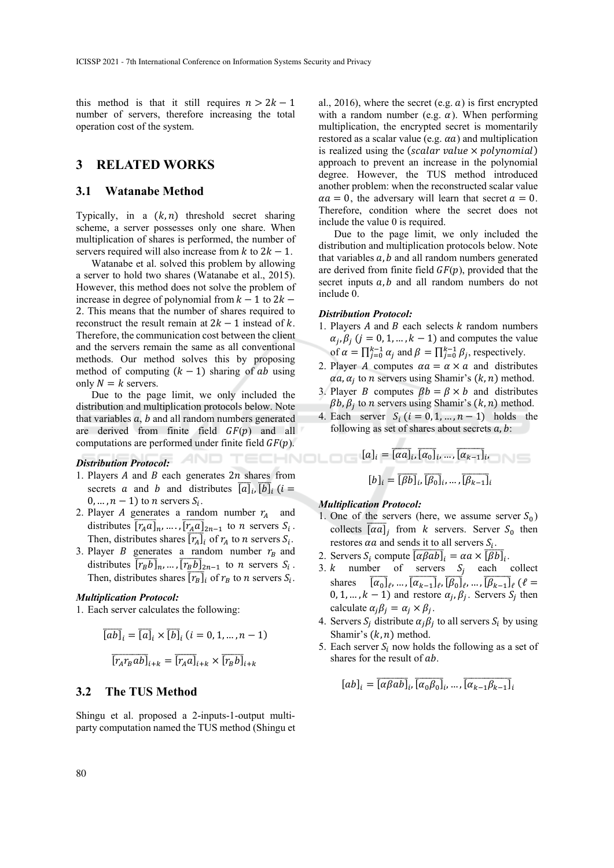this method is that it still requires  $n > 2k - 1$ number of servers, therefore increasing the total operation cost of the system.

# **3 RELATED WORKS**

### **3.1 Watanabe Method**

Typically, in a  $(k, n)$  threshold secret sharing scheme, a server possesses only one share. When multiplication of shares is performed, the number of servers required will also increase from  $k$  to  $2k - 1$ .

Watanabe et al. solved this problem by allowing a server to hold two shares (Watanabe et al., 2015). However, this method does not solve the problem of increase in degree of polynomial from  $k - 1$  to  $2k -$ 2. This means that the number of shares required to reconstruct the result remain at  $2k - 1$  instead of k. Therefore, the communication cost between the client and the servers remain the same as all conventional methods. Our method solves this by proposing method of computing  $(k - 1)$  sharing of ab using only  $N = k$  servers.

Due to the page limit, we only included the distribution and multiplication protocols below. Note that variables  $a$ ,  $b$  and all random numbers generated are derived from finite field  $GF(p)$  and all computations are performed under finite field  $GF(p)$ .

### *Distribution Protocol:*

- 1. Players  $A$  and  $B$  each generates  $2n$  shares from secrets a and b and distributes  $\overline{[a]}_i$ ,  $\overline{[b]}_i$  (i = 0, ...,  $n - 1$ ) to *n* servers  $S_i$ .
- 2. Player A generates a random number  $r_A$  and distributes  $\overline{[r_A a]}_n, ..., \overline{[r_A a]}_{2n-1}$  to *n* servers  $S_i$ . Then, distributes shares  $\overline{[r_A]}_i$  of  $r_A$  to *n* servers  $S_i$ .
- 3. Player *B* generates a random number  $r_B$  and distributes  $\overline{[r_B b]}_n$ , ...,  $\overline{[r_B b]}_{2n-1}$  to *n* servers  $S_i$ . Then, distributes shares  $\overline{[r_B]_i}$  of  $r_B$  to *n* servers  $S_i$ .

#### *Multiplication Protocol:*

1. Each server calculates the following:

$$
\overline{[ab]}_i = \overline{[a]}_i \times \overline{[b]}_i \ (i = 0, 1, \dots, n - 1)
$$

$$
\overline{[r_A r_B ab]}_{i+k} = \overline{[r_A a]}_{i+k} \times \overline{[r_B b]}_{i+k}
$$

### **3.2 The TUS Method**

Shingu et al. proposed a 2-inputs-1-output multiparty computation named the TUS method (Shingu et

al., 2016), where the secret (e.g.  $a$ ) is first encrypted with a random number (e.g.  $\alpha$ ). When performing multiplication, the encrypted secret is momentarily restored as a scalar value (e.g.  $\alpha a$ ) and multiplication is realized using the (scalar value  $\times$  polynomial) approach to prevent an increase in the polynomial degree. However, the TUS method introduced another problem: when the reconstructed scalar value  $\alpha a = 0$ , the adversary will learn that secret  $a = 0$ . Therefore, condition where the secret does not include the value 0 is required.

Due to the page limit, we only included the distribution and multiplication protocols below. Note that variables  $a$ ,  $b$  and all random numbers generated are derived from finite field  $GF(p)$ , provided that the secret inputs  $a, b$  and all random numbers do not include 0.

#### *Distribution Protocol:*

- 1. Players  $A$  and  $B$  each selects  $k$  random numbers  $\alpha_j$ ,  $\beta_j$  ( $j = 0, 1, ..., k - 1$ ) and computes the value of  $\alpha = \prod_{j=0}^{k-1} \alpha_j$  and  $\beta = \prod_{j=0}^{k-1} \beta_j$ , respectively.
- 2. Player A computes  $\alpha a = \alpha \times a$  and distributes  $\alpha a$ ,  $\alpha_i$  to *n* servers using Shamir's  $(k, n)$  method.
- 3. Player *B* computes  $\beta b = \beta \times b$  and distributes  $\beta b$ ,  $\beta_i$  to *n* servers using Shamir's  $(k, n)$  method.
- 4. Each server  $S_i$  ( $i = 0, 1, ..., n 1$ ) holds the following as set of shares about secrets  $a, b$ :

$$
[a]_i = \overline{[aa]_i}, \overline{[a_0]_i}, \dots, \overline{[a_{k-1}]}_i,
$$
  
2*n* shares from  

$$
[b]_i = \overline{[Bb]_i}, \overline{[b_0]_i}, \dots, \overline{[b_{k-1}]}_i
$$

### *Multiplication Protocol:*

- 1. One of the servers (here, we assume server  $S_0$ ) collects  $\overline{[\alpha a]}_j$  from *k* servers. Server  $S_0$  then restores  $\alpha a$  and sends it to all servers  $S_i$ .
- 2. Servers  $S_i$  compute  $\overline{[\alpha \beta ab]}_i = \alpha a \times \overline{[\beta b]}_i$ .
- 3.  $k$  number of servers  $S_i$  each collect shares  $\overline{[\alpha_0]}_\ell, ..., \overline{[\alpha_{k-1}]}_\ell, \overline{[\beta_0]}_\ell, ..., \overline{[\beta_{k-1}]}_\ell$  ( $\ell =$ 0, 1, ...,  $k - 1$ ) and restore  $\alpha_i$ ,  $\beta_i$ . Servers  $S_i$  then calculate  $\alpha_j \beta_j = \alpha_j \times \beta_j$ .
- 4. Servers  $S_i$  distribute  $\alpha_i \beta_j$  to all servers  $S_i$  by using Shamir's  $(k, n)$  method.
- 5. Each server  $S_i$  now holds the following as a set of shares for the result of ab.

$$
[ab]_i = \overline{[\alpha \beta ab]}_i, \overline{[\alpha_0 \beta_0]}_i, \dots, \overline{[\alpha_{k-1} \beta_{k-1}]}_i
$$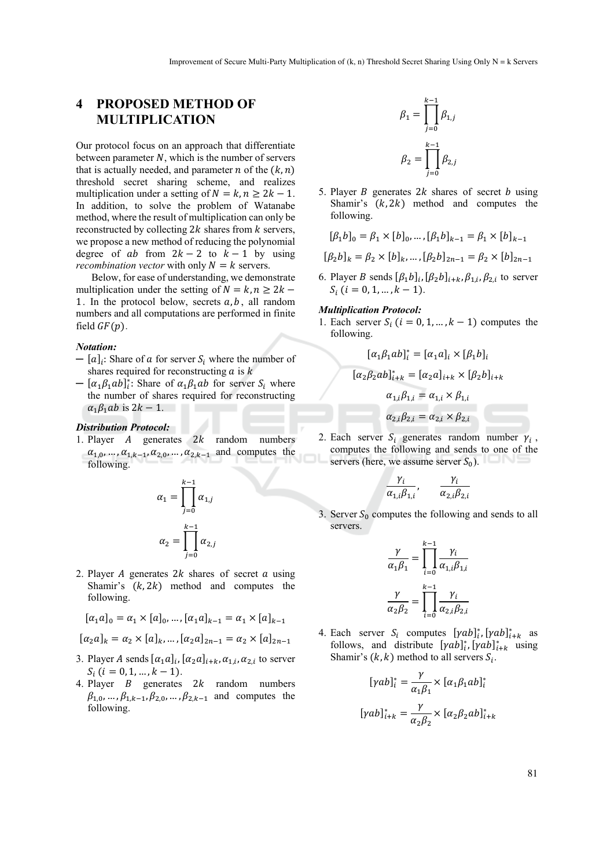# **4 PROPOSED METHOD OF MULTIPLICATION**

Our protocol focus on an approach that differentiate between parameter  $N$ , which is the number of servers that is actually needed, and parameter *n* of the  $(k, n)$ threshold secret sharing scheme, and realizes multiplication under a setting of  $N = k, n \geq 2k - 1$ . In addition, to solve the problem of Watanabe method, where the result of multiplication can only be reconstructed by collecting  $2k$  shares from  $k$  servers, we propose a new method of reducing the polynomial degree of  $ab$  from  $2k - 2$  to  $k - 1$  by using *recombination vector* with only  $N = k$  servers.

Below, for ease of understanding, we demonstrate multiplication under the setting of  $N = k, n \geq 2k$  – 1. In the protocol below, secrets  $a, b$ , all random numbers and all computations are performed in finite field  $GF(p)$ .

#### *Notation:*

- $[a]_i$ : Share of a for server  $S_i$  where the number of shares required for reconstructing  $a$  is  $k$
- $-$  [ $\alpha_1 \beta_1 ab$ ]<sup>\*</sup>; Share of  $\alpha_1 \beta_1 ab$  for server  $S_i$  where the number of shares required for reconstructing  $\alpha_1 \beta_1 ab$  is 2k – 1.

### *Distribution Protocol:*

1. Player  $A$  generates  $2k$  random numbers  $\alpha_{1,0}, \ldots, \alpha_{1,k-1}, \alpha_{2,0}, \ldots, \alpha_{2,k-1}$  and computes the following.



2. Player A generates  $2k$  shares of secret  $\alpha$  using Shamir's  $(k, 2k)$  method and computes the following.

$$
[\alpha_1 a]_0 = \alpha_1 \times [a]_0, \dots, [\alpha_1 a]_{k-1} = \alpha_1 \times [a]_{k-1}
$$

$$
[\alpha_2 a]_k = \alpha_2 \times [a]_k, ..., [\alpha_2 a]_{2n-1} = \alpha_2 \times [a]_{2n-1}
$$

- 3. Player A sends  $[\alpha_1 a]_i$ ,  $[\alpha_2 a]_{i+k}$ ,  $\alpha_{1,i}$ ,  $\alpha_{2,i}$  to server  $S_i$  ( $i = 0, 1, ..., k - 1$ ).
- 4. Player  $B$  generates  $2k$  random numbers  $\beta_{1,0}, \ldots, \beta_{1,k-1}, \beta_{2,0}, \ldots, \beta_{2,k-1}$  and computes the following.

$$
\beta_1 = \prod_{j=0}^{k-1} \beta_{1,j}
$$

$$
\beta_2 = \prod_{j=0}^{k-1} \beta_{2,j}
$$

5. Player B generates  $2k$  shares of secret b using Shamir's  $(k, 2k)$  method and computes the following.

$$
[\beta_1 b]_0 = \beta_1 \times [b]_0, \dots, [\beta_1 b]_{k-1} = \beta_1 \times [b]_{k-1}
$$

$$
[\beta_2 b]_k = \beta_2 \times [b]_k, \dots, [\beta_2 b]_{2n-1} = \beta_2 \times [b]_{2n-1}
$$

6. Player B sends  $[\beta_1 b]_i$ ,  $[\beta_2 b]_{i+k}$ ,  $\beta_{1,i}$ ,  $\beta_{2,i}$  to server  $S_i$  ( $i = 0, 1, ..., k - 1$ ).

### *Multiplication Protocol:*

1. Each server  $S_i$   $(i = 0, 1, ..., k - 1)$  computes the following.

$$
[\alpha_1 \beta_1 ab]_i^* = [\alpha_1 a]_i \times [\beta_1 b]_i
$$
  
\n
$$
[\alpha_2 \beta_2 ab]_{i+k}^* = [\alpha_2 a]_{i+k} \times [\beta_2 b]_{i+k}
$$
  
\n
$$
\alpha_{1,i} \beta_{1,i} = \alpha_{1,i} \times \beta_{1,i}
$$
  
\n
$$
\alpha_{2,i} \beta_{2,i} = \alpha_{2,i} \times \beta_{2,i}
$$

2. Each server  $S_i$  generates random number  $\gamma_i$ , computes the following and sends to one of the servers (here, we assume server  $S_0$ ).

$$
\frac{\gamma_i}{\alpha_{1,i}\beta_{1,i}}, \quad \frac{\gamma_i}{\alpha_{2,i}\beta_{2,i}}
$$

3. Server  $S_0$  computes the following and sends to all servers.

$$
\frac{\gamma}{\alpha_1 \beta_1} = \prod_{i=0}^{k-1} \frac{\gamma_i}{\alpha_{1,i} \beta_{1,i}}
$$

$$
\frac{\gamma}{\alpha_2 \beta_2} = \prod_{i=0}^{k-1} \frac{\gamma_i}{\alpha_{2,i} \beta_{2,i}}
$$

4. Each server  $S_i$  computes  $[\gamma ab]_{i}^*$ ,  $[\gamma ab]_{i+k}^*$  as follows, and distribute  $[\gamma ab]_i^*$ ,  $[\gamma ab]_{i+k}^*$  using Shamir's  $(k, k)$  method to all servers  $S_i$ .

$$
[\gamma ab]_i^* = \frac{\gamma}{\alpha_1 \beta_1} \times [\alpha_1 \beta_1 ab]_i^*
$$

$$
[\gamma ab]_{i+k}^* = \frac{\gamma}{\alpha_2 \beta_2} \times [\alpha_2 \beta_2 ab]_{i+k}^*
$$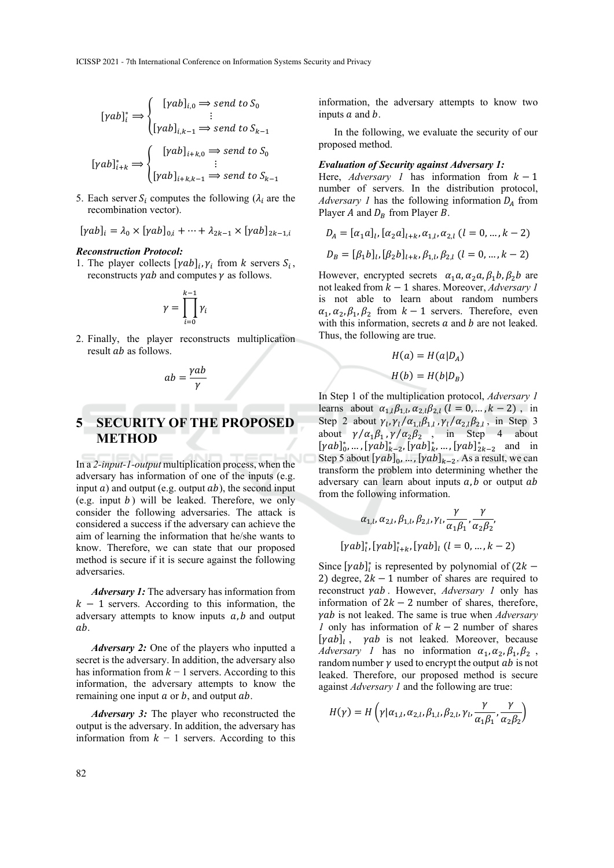$$
[\gamma ab]_i^* \Rightarrow \begin{cases} [\gamma ab]_{i,0} \Rightarrow send \ to \ S_0 \\ \vdots \\ [\gamma ab]_{i,k-1} \Rightarrow send \ to \ S_{k-1} \end{cases}
$$

$$
[\gamma ab]_{i+k}^* \Rightarrow \begin{cases} [\gamma ab]_{i+k,0} \Rightarrow send \ to \ S_0 \\ \vdots \\ [\gamma ab]_{i+k,k-1} \Rightarrow send \ to \ S_{k-1} \end{cases}
$$

5. Each server  $S_i$  computes the following ( $\lambda_i$  are the recombination vector).

$$
[\gamma ab]_i = \lambda_0 \times [\gamma ab]_{0,i} + \dots + \lambda_{2k-1} \times [\gamma ab]_{2k-1,i}
$$

#### *Reconstruction Protocol:*

1. The player collects  $[\gamma ab]_i$ ,  $\gamma_i$  from *k* servers  $S_i$ , reconstructs  $\gamma$ *ab* and computes  $\gamma$  as follows.

$$
\gamma = \prod_{i=0}^{k-1} \gamma_i
$$

2. Finally, the player reconstructs multiplication result *ab* as follows.

$$
ab = \frac{\gamma ab}{\gamma}
$$

# **5 SECURITY OF THE PROPOSED METHOD**

In a *2-input-1-output* multiplication process, when the adversary has information of one of the inputs (e.g. input  $a$ ) and output (e.g. output  $ab$ ), the second input (e.g. input  $b$ ) will be leaked. Therefore, we only consider the following adversaries. The attack is considered a success if the adversary can achieve the aim of learning the information that he/she wants to know. Therefore, we can state that our proposed method is secure if it is secure against the following adversaries.

*Adversary 1:* The adversary has information from  $k - 1$  servers. According to this information, the adversary attempts to know inputs  $a, b$  and output a<sub>b</sub>.

*Adversary 2:* One of the players who inputted a secret is the adversary. In addition, the adversary also has information from  $k - 1$  servers. According to this information, the adversary attempts to know the remaining one input  $a$  or  $b$ , and output  $ab$ .

*Adversary 3:* The player who reconstructed the output is the adversary. In addition, the adversary has information from  $k - 1$  servers. According to this

information, the adversary attempts to know two inputs  $a$  and  $b$ .

In the following, we evaluate the security of our proposed method.

### *Evaluation of Security against Adversary 1:*

Here, *Adversary 1* has information from  $k - 1$ number of servers. In the distribution protocol, *Adversary 1* has the following information  $D_A$  from Player A and  $D_R$  from Player B.

$$
D_A = [\alpha_1 a]_l, [\alpha_2 a]_{l+k}, \alpha_{1,l}, \alpha_{2,l} (l = 0, ..., k - 2)
$$
  

$$
D_B = [\beta_1 b]_l, [\beta_2 b]_{l+k}, \beta_{1,l}, \beta_{2,l} (l = 0, ..., k - 2)
$$

However, encrypted secrets  $\alpha_1 a, \alpha_2 a, \beta_1 b, \beta_2 b$  are not leaked from  $k − 1$  shares. Moreover, *Adversary 1* is not able to learn about random numbers  $\alpha_1, \alpha_2, \beta_1, \beta_2$  from  $k-1$  servers. Therefore, even with this information, secrets  $a$  and  $b$  are not leaked. Thus, the following are true.

$$
H(a) = H(a|DA)
$$
  

$$
H(b) = H(b|DB)
$$

In Step 1 of the multiplication protocol, *Adversary 1*  
learns about 
$$
\alpha_{1,l}\beta_{1,l}
$$
,  $\alpha_{2,l}\beta_{2,l}$  ( $l = 0, ..., k - 2$ ), in  
Step 2 about  $\gamma_l$ ,  $\gamma_l/\alpha_{1,l}\beta_{1,l}$ ,  $\gamma_l/\alpha_{2,l}\beta_{2,l}$ , in Step 3  
about  $\gamma/\alpha_1\beta_1$ ,  $\gamma/\alpha_2\beta_2$ , in Step 4 about  
[ $\gamma ab$ ]<sub>0</sub>, ..., [ $\gamma ab$ ]<sub>1</sub><sub>k</sub>, ..., [ $\gamma ab$ ]<sub>2k-2</sub><sub>k-2</sub> and in  
Step 5 about [ $\gamma ab$ ]<sub>0</sub>, ..., [ $\gamma ab$ ]<sub>k-2</sub>. As a result, we can  
transform the problem into determining whether the  
adversary can learn about inputs *a*, *b* or output *ab*  
from the following information.

$$
\alpha_{1,l}, \alpha_{2,l}, \beta_{1,l}, \beta_{2,l}, \gamma_l, \frac{\gamma}{\alpha_1 \beta_1}, \frac{\gamma}{\alpha_2 \beta_2},
$$
  

$$
\gamma a b \rceil_l^*, [\gamma a b]_{l+k}^*, [\gamma a b]_l (l = 0, ..., k - 2)
$$

 $\overline{\phantom{a}}$ 

Since  $[\gamma ab]_i^*$  is represented by polynomial of  $(2k - )$ 2) degree,  $2k - 1$  number of shares are required to reconstruct  $\gamma ab$ . However, *Adversary 1* only has information of  $2k - 2$  number of shares, therefore,  $\gamma$ *ab* is not leaked. The same is true when *Adversary 1* only has information of  $k - 2$  number of shares  $[\gamma ab]_l$ ,  $\gamma ab$  is not leaked. Moreover, because *Adversary 1* has no information  $\alpha_1, \alpha_2, \beta_1, \beta_2$ , random number  $\gamma$  used to encrypt the output  $ab$  is not leaked. Therefore, our proposed method is secure against *Adversary 1* and the following are true:

$$
H(\gamma) = H\left(\gamma|\alpha_{1,l}, \alpha_{2,l}, \beta_{1,l}, \beta_{2,l}, \gamma_l, \frac{\gamma}{\alpha_1\beta_1}, \frac{\gamma}{\alpha_2\beta_2}\right)
$$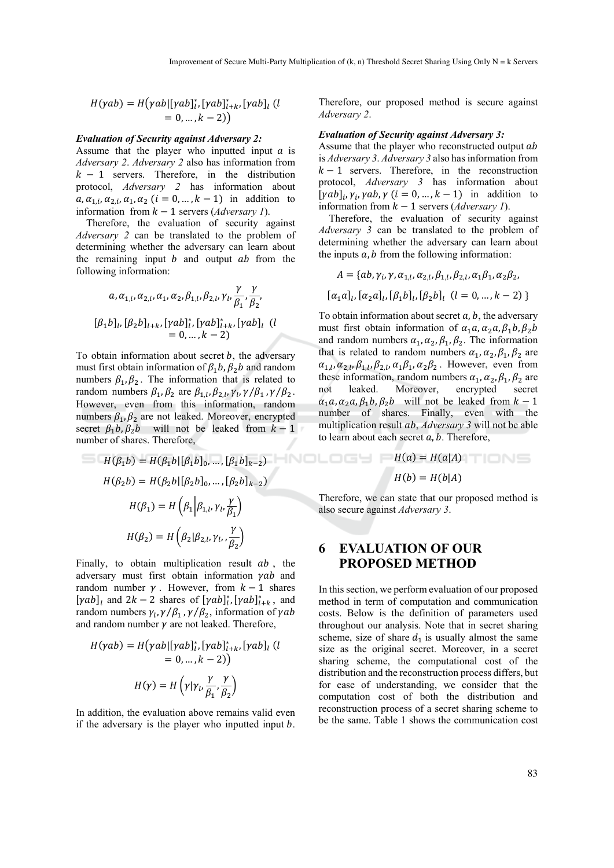$$
H(\gamma ab) = H(\gamma ab | [\gamma ab]_l^*, [\gamma ab]_{l+k}^*, [\gamma ab]_l (l = 0, ..., k - 2))
$$

#### *Evaluation of Security against Adversary 2:*

Assume that the player who inputted input  $a$  is *Adversary 2*. *Adversary 2* also has information from  $k - 1$  servers. Therefore, in the distribution protocol, *Adversary 2* has information about  $a, \alpha_{1,i}, \alpha_{2,i}, \alpha_1, \alpha_2$  ( $i = 0, \ldots, k-1$ ) in addition to information from  $k - 1$  servers (*Adversary 1*).

Therefore, the evaluation of security against *Adversary 2* can be translated to the problem of determining whether the adversary can learn about the remaining input  $b$  and output  $ab$  from the following information:

$$
a, \alpha_{1,i}, \alpha_{2,i}, \alpha_1, \alpha_2, \beta_{1,l}, \beta_{2,l}, \gamma_l, \frac{\gamma}{\beta_1}, \frac{\gamma}{\beta_2},
$$
  

$$
[\beta_1 b]_l, [\beta_2 b]_{l+k}, [\gamma ab]_l^*, [\gamma ab]_{l+k}^*, [\gamma ab]_l \ (l = 0, ..., k - 2)
$$

To obtain information about secret  $b$ , the adversary must first obtain information of  $\beta_1 b$ ,  $\beta_2 b$  and random numbers  $\beta_1, \beta_2$ . The information that is related to random numbers  $\beta_1$ ,  $\beta_2$  are  $\beta_{1,l}$ ,  $\beta_{2,l}$ ,  $\gamma_l$ ,  $\gamma_l/\beta_1$ ,  $\gamma_l/\beta_2$ . However, even from this information, random numbers  $\beta_1$ ,  $\beta_2$  are not leaked. Moreover, encrypted secret  $\beta_1 b$ ,  $\beta_2 b$  will not be leaked from  $k-1$ number of shares. Therefore,

$$
H(\beta_1 b) = H(\beta_1 b | [\beta_1 b]_0, ..., [\beta_1 b]_{k-2})
$$
  
\n
$$
H(\beta_2 b) = H(\beta_2 b | [\beta_2 b]_0, ..., [\beta_2 b]_{k-2})
$$
  
\n
$$
H(\beta_1) = H(\beta_1 | \beta_{1,l}, \gamma_l, \frac{\gamma}{\beta_1})
$$
  
\nTherefore,  
\n
$$
H(\beta_2) = H(\beta_2 | \beta_{2,l}, \gamma_l, \frac{\gamma}{\beta_2})
$$
  
\n**6 FVAI**

Finally, to obtain multiplication result  $ab$ , the adversary must first obtain information  $yab$  and random number  $\gamma$ . However, from  $k-1$  shares  $[\gamma ab]_l$  and  $2k - 2$  shares of  $[\gamma ab]_l^*$ ,  $[\gamma ab]_{l+k}^*$ , and random numbers  $\gamma_l$ ,  $\gamma/\beta_1$ ,  $\gamma/\beta_2$ , information of  $\gamma ab$ and random number  $\gamma$  are not leaked. Therefore,

$$
H(\gamma ab) = H(\gamma ab | [\gamma ab]_i^*, [\gamma ab]_{i+k}^*, [\gamma ab]_l (l = 0, ..., k - 2)
$$

$$
H(\gamma) = H(\gamma | \gamma l, \frac{\gamma}{\beta_1}, \frac{\gamma}{\beta_2})
$$

In addition, the evaluation above remains valid even if the adversary is the player who inputted input  $b$ .

Therefore, our proposed method is secure against *Adversary 2*.

#### *Evaluation of Security against Adversary 3:*

Assume that the player who reconstructed output ab is *Adversary 3*. *Adversary 3* also has information from  $k-1$  servers. Therefore, in the reconstruction protocol, *Adversary 3* has information about  $[\gamma ab]_i$ ,  $\gamma_i$ ,  $\gamma ab$ ,  $\gamma$   $(i = 0, ..., k - 1)$  in addition to information from  $k-1$  servers (*Adversary 1*).

Therefore, the evaluation of security against *Adversary 3* can be translated to the problem of determining whether the adversary can learn about the inputs  $a$ ,  $b$  from the following information:

$$
A = \{ab, \gamma_i, \gamma, \alpha_{1,l}, \alpha_{2,l}, \beta_{1,l}, \beta_{2,l}, \alpha_1 \beta_1, \alpha_2 \beta_2,
$$
  

$$
[\alpha_1 a]_l, [\alpha_2 a]_l, [\beta_1 b]_l, [\beta_2 b]_l \ (l = 0, ..., k - 2)\}
$$

To obtain information about secret  $a$ ,  $b$ , the adversary must first obtain information of  $\alpha_1 a, \alpha_2 a, \beta_1 b, \beta_2 b$ and random numbers  $\alpha_1$ ,  $\alpha_2$ ,  $\beta_1$ ,  $\beta_2$ . The information that is related to random numbers  $\alpha_1, \alpha_2, \beta_1, \beta_2$  are  $\alpha_{1,l}, \alpha_{2,l}, \beta_{1,l}, \beta_{2,l}, \alpha_1 \beta_1, \alpha_2 \beta_2$ . However, even from these information, random numbers  $\alpha_1$ ,  $\alpha_2$ ,  $\beta_1$ ,  $\beta_2$  are not leaked. Moreover, encrypted secret  $\alpha_1 a, \alpha_2 a, \beta_1 b, \beta_2 b$  will not be leaked from  $k-1$ number of shares. Finally, even with the multiplication result *ab, Adversary 3* will not be able to learn about each secret  $a, b$ . Therefore,

$$
H(a) = H(a|A)
$$
  

$$
H(b) = H(b|A)
$$

Therefore, we can state that our proposed method is also secure against *Adversary 3*.

# **6 EVALUATION OF OUR PROPOSED METHOD**

In this section, we perform evaluation of our proposed method in term of computation and communication costs. Below is the definition of parameters used throughout our analysis. Note that in secret sharing scheme, size of share  $d_1$  is usually almost the same size as the original secret. Moreover, in a secret sharing scheme, the computational cost of the distribution and the reconstruction process differs, but for ease of understanding, we consider that the computation cost of both the distribution and reconstruction process of a secret sharing scheme to be the same. Table 1 shows the communication cost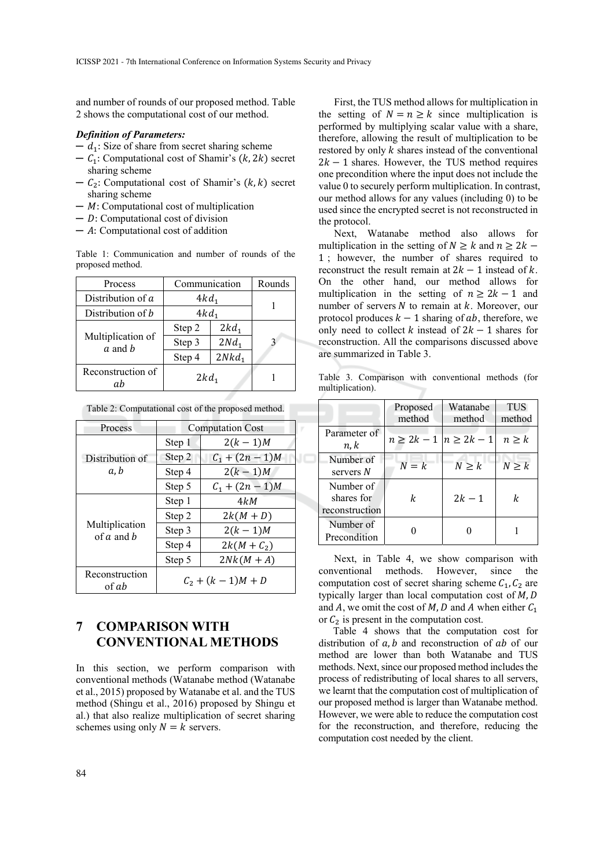and number of rounds of our proposed method. Table 2 shows the computational cost of our method.

### *Definition of Parameters:*

- $d_1$ : Size of share from secret sharing scheme
- $C_1$ : Computational cost of Shamir's  $(k, 2k)$  secret sharing scheme
- $C_2$ : Computational cost of Shamir's  $(k, k)$  secret sharing scheme
- $-$  *M*: Computational cost of multiplication
- $D$ : Computational cost of division
- $A$ : Computational cost of addition

Table 1: Communication and number of rounds of the proposed method.

| Process                             | Communication |                  | Rounds |
|-------------------------------------|---------------|------------------|--------|
| Distribution of a                   | $4kd_1$       |                  |        |
| Distribution of b                   | $4kd_1$       |                  |        |
| Multiplication of<br>a and <i>h</i> | Step 2        | $2kd_1$          |        |
|                                     | Step 3        | 2Nd <sub>1</sub> |        |
|                                     | Step 4        | $2Nkd_1$         |        |
| Reconstruction of<br>пh             | $2kd_1$       |                  |        |

| Process                          | <b>Computation Cost</b> |                   |  |
|----------------------------------|-------------------------|-------------------|--|
| Distribution of<br>a.b           | Step 1                  | $2(k-1)M$         |  |
|                                  | Step 2                  | $C_1 + (2n - 1)M$ |  |
|                                  | Step 4                  | $2(k-1)M$         |  |
|                                  | Step 5                  | $C_1 + (2n - 1)M$ |  |
| Multiplication<br>of $a$ and $b$ | Step 1                  | 4kM               |  |
|                                  | Step 2                  | $2k(M+D)$         |  |
|                                  | Step 3                  | $2(k-1)M$         |  |
|                                  | Step 4                  | $2k(M+C_2)$       |  |
|                                  | Step 5                  | $2Nk(M+A)$        |  |
| Reconstruction<br>of ab          | $C_2 + (k-1)M + D$      |                   |  |

Table 2: Computational cost of the proposed method.

# **7 COMPARISON WITH CONVENTIONAL METHODS**

In this section, we perform comparison with conventional methods (Watanabe method (Watanabe et al., 2015) proposed by Watanabe et al. and the TUS method (Shingu et al., 2016) proposed by Shingu et al.) that also realize multiplication of secret sharing schemes using only  $N = k$  servers.

First, the TUS method allows for multiplication in the setting of  $N = n \ge k$  since multiplication is performed by multiplying scalar value with a share, therefore, allowing the result of multiplication to be restored by only  $k$  shares instead of the conventional  $2k - 1$  shares. However, the TUS method requires one precondition where the input does not include the value 0 to securely perform multiplication. In contrast, our method allows for any values (including 0) to be used since the encrypted secret is not reconstructed in the protocol.

Next, Watanabe method also allows for multiplication in the setting of  $N \ge k$  and  $n \ge 2k$  – 1 ; however, the number of shares required to reconstruct the result remain at  $2k - 1$  instead of k. On the other hand, our method allows for multiplication in the setting of  $n \ge 2k - 1$  and number of servers  $N$  to remain at  $k$ . Moreover, our protocol produces  $k-1$  sharing of ab, therefore, we only need to collect  $k$  instead of  $2k - 1$  shares for reconstruction. All the comparisons discussed above are summarized in Table 3.

Table 3. Comparison with conventional methods (for multiplication).

|                                           | Proposed<br>method                 | Watanabe<br>method | <b>TUS</b><br>method |
|-------------------------------------------|------------------------------------|--------------------|----------------------|
| Parameter of<br>n, k                      | $n \geq 2k - 1 \mid n \geq 2k - 1$ |                    | n > k                |
| Number of<br>servers N                    | $N = k$                            | $N \geq k$         | $N \geq k$           |
| Number of<br>shares for<br>reconstruction | k                                  | $2k - 1$           | k                    |
| Number of<br>Precondition                 |                                    |                    |                      |

Next, in Table 4, we show comparison with conventional methods. However, since the computation cost of secret sharing scheme  $C_1$ ,  $C_2$  are typically larger than local computation cost of  $M, D$ and A, we omit the cost of M, D and A when either  $C_1$ or  $C_2$  is present in the computation cost.

Table 4 shows that the computation cost for distribution of  $a$ ,  $b$  and reconstruction of  $ab$  of our method are lower than both Watanabe and TUS methods. Next, since our proposed method includes the process of redistributing of local shares to all servers, we learnt that the computation cost of multiplication of our proposed method is larger than Watanabe method. However, we were able to reduce the computation cost for the reconstruction, and therefore, reducing the computation cost needed by the client.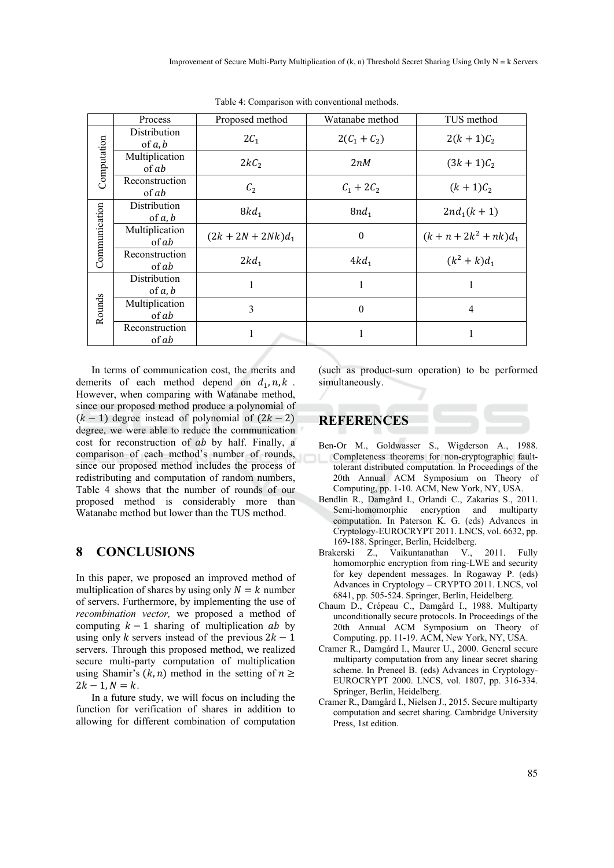|               | Process                   | Proposed method      | Watanabe method  | TUS method               |
|---------------|---------------------------|----------------------|------------------|--------------------------|
| Computation   | Distribution<br>of $a, b$ | $2C_1$               | $2(C_1 + C_2)$   | $2(k+1)C_2$              |
|               | Multiplication<br>of ab   | $2kC_2$              | 2nM              | $(3k + 1)C_2$            |
|               | Reconstruction<br>of ab   | C <sub>2</sub>       | $C_1 + 2C_2$     | $(k+1)C_2$               |
| Communication | Distribution<br>of $a, b$ | $8kd_1$              | $8nd_1$          | $2nd_1(k + 1)$           |
|               | Multiplication<br>of ab   | $(2k + 2N + 2Nk)d_1$ | $\boldsymbol{0}$ | $(k + n + 2k^2 + nk)d_1$ |
|               | Reconstruction<br>of ab   | $2kd_1$              | $4kd_1$          | $(k^2 + k)d_1$           |
| Rounds        | Distribution<br>of $a, b$ |                      | 1                |                          |
|               | Multiplication<br>of ab   | 3                    | $\theta$         | 4                        |
|               | Reconstruction<br>of ab   | 1                    | 1                |                          |

Table 4: Comparison with conventional methods.

In terms of communication cost, the merits and demerits of each method depend on  $d_1$ ,  $n$ ,  $k$ . However, when comparing with Watanabe method, since our proposed method produce a polynomial of  $(k - 1)$  degree instead of polynomial of  $(2k - 2)$ degree, we were able to reduce the communication cost for reconstruction of ab by half. Finally, a comparison of each method's number of rounds, since our proposed method includes the process of redistributing and computation of random numbers, Table 4 shows that the number of rounds of our proposed method is considerably more than Watanabe method but lower than the TUS method.

# **8 CONCLUSIONS**

In this paper, we proposed an improved method of multiplication of shares by using only  $N = k$  number of servers. Furthermore, by implementing the use of *recombination vector,* we proposed a method of computing  $k-1$  sharing of multiplication  $ab$  by using only k servers instead of the previous  $2k - 1$ servers. Through this proposed method, we realized secure multi-party computation of multiplication using Shamir's  $(k, n)$  method in the setting of  $n \geq$  $2k - 1, N = k$ .

In a future study, we will focus on including the function for verification of shares in addition to allowing for different combination of computation (such as product-sum operation) to be performed simultaneously.

# **REFERENCES**

- Ben-Or M., Goldwasser S., Wigderson A., 1988. Completeness theorems for non-cryptographic faulttolerant distributed computation. In Proceedings of the 20th Annual ACM Symposium on Theory of Computing, pp. 1-10. ACM, New York, NY, USA.
- Bendlin R., Damgård I., Orlandi C., Zakarias S., 2011. Semi-homomorphic encryption and multiparty computation. In Paterson K. G. (eds) Advances in Cryptology-EUROCRYPT 2011. LNCS, vol. 6632, pp. 169-188. Springer, Berlin, Heidelberg.
- Brakerski Z., Vaikuntanathan V., 2011. Fully homomorphic encryption from ring-LWE and security for key dependent messages. In Rogaway P. (eds) Advances in Cryptology – CRYPTO 2011. LNCS, vol 6841, pp. 505-524. Springer, Berlin, Heidelberg.
- Chaum D., Crépeau C., Damgård I., 1988. Multiparty unconditionally secure protocols. In Proceedings of the 20th Annual ACM Symposium on Theory of Computing. pp. 11-19. ACM, New York, NY, USA.
- Cramer R., Damgård I., Maurer U., 2000. General secure multiparty computation from any linear secret sharing scheme. In Preneel B. (eds) Advances in Cryptology-EUROCRYPT 2000. LNCS, vol. 1807, pp. 316-334. Springer, Berlin, Heidelberg.
- Cramer R., Damgård I., Nielsen J., 2015. Secure multiparty computation and secret sharing. Cambridge University Press, 1st edition.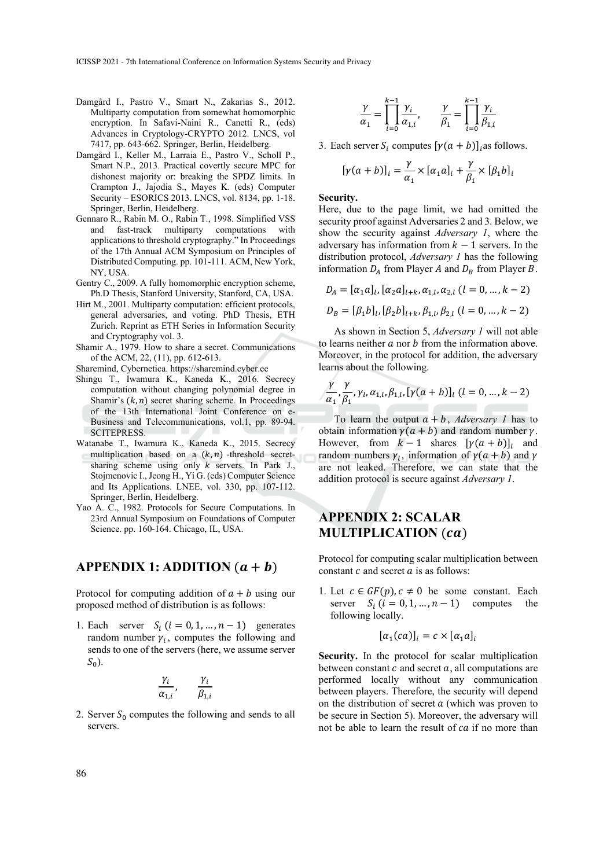ICISSP 2021 - 7th International Conference on Information Systems Security and Privacy

- Damgård I., Pastro V., Smart N., Zakarias S., 2012. Multiparty computation from somewhat homomorphic encryption. In Safavi-Naini R., Canetti R., (eds) Advances in Cryptology-CRYPTO 2012. LNCS, vol 7417, pp. 643-662. Springer, Berlin, Heidelberg.
- Damgård I., Keller M., Larraia E., Pastro V., Scholl P., Smart N.P., 2013. Practical covertly secure MPC for dishonest majority or: breaking the SPDZ limits. In Crampton J., Jajodia S., Mayes K. (eds) Computer Security – ESORICS 2013. LNCS, vol. 8134, pp. 1-18. Springer, Berlin, Heidelberg.
- Gennaro R., Rabin M. O., Rabin T., 1998. Simplified VSS and fast-track multiparty computations with applications to threshold cryptography." In Proceedings of the 17th Annual ACM Symposium on Principles of Distributed Computing. pp. 101-111. ACM, New York, NY, USA.
- Gentry C., 2009. A fully homomorphic encryption scheme, Ph.D Thesis, Stanford University, Stanford, CA, USA.
- Hirt M., 2001. Multiparty computation: efficient protocols, general adversaries, and voting. PhD Thesis, ETH Zurich. Reprint as ETH Series in Information Security and Cryptography vol. 3.
- Shamir A., 1979. How to share a secret. Communications of the ACM, 22, (11), pp. 612-613.
- Sharemind, Cybernetica. https://sharemind.cyber.ee
- Shingu T., Iwamura K., Kaneda K., 2016. Secrecy computation without changing polynomial degree in Shamir's  $(k, n)$  secret sharing scheme. In Proceedings of the 13th International Joint Conference on e-Business and Telecommunications, vol.1, pp. 89-94. SCITEPRESS.
- Watanabe T., Iwamura K., Kaneda K., 2015. Secrecy multiplication based on a  $(k, n)$  -threshold secretsharing scheme using only  $k$  servers. In Park J., Stojmenovic I., Jeong H., Yi G. (eds) Computer Science and Its Applications. LNEE, vol. 330, pp. 107-112. Springer, Berlin, Heidelberg.
- Yao A. C., 1982. Protocols for Secure Computations. In 23rd Annual Symposium on Foundations of Computer Science. pp. 160-164. Chicago, IL, USA.

## **APPENDIX 1: ADDITION**  $(a + b)$

Protocol for computing addition of  $a + b$  using our proposed method of distribution is as follows:

1. Each server  $S_i$   $(i = 0, 1, ..., n - 1)$  generates random number  $\gamma_i$ , computes the following and sends to one of the servers (here, we assume server  $S_0$ ).

$$
\frac{\gamma_i}{\alpha_{1,i}},\qquad \frac{\gamma_i}{\beta_{1,i}}
$$

2. Server  $S_0$  computes the following and sends to all servers.

$$
\frac{\gamma}{\alpha_1} = \prod_{i=0}^{k-1} \frac{\gamma_i}{\alpha_{1,i}}, \qquad \frac{\gamma}{\beta_1} = \prod_{i=0}^{k-1} \frac{\gamma_i}{\beta_{1,i}}
$$

3. Each server  $S_i$  computes  $[\gamma(a+b)]_i$ as follows.

$$
[\gamma(a+b)]_i = \frac{\gamma}{\alpha_1} \times [\alpha_1 a]_i + \frac{\gamma}{\beta_1} \times [\beta_1 b]_i
$$

#### **Security.**

Here, due to the page limit, we had omitted the security proof against Adversaries 2 and 3. Below, we show the security against *Adversary 1*, where the adversary has information from  $k-1$  servers. In the distribution protocol, *Adversary 1* has the following information  $D_A$  from Player A and  $D_B$  from Player B.

$$
D_A = [\alpha_1 a]_l, [\alpha_2 a]_{l+k}, \alpha_{1,l}, \alpha_{2,l} (l = 0, ..., k - 2)
$$
  

$$
D_B = [\beta_1 b]_l, [\beta_2 b]_{l+k}, \beta_{1,l}, \beta_{2,l} (l = 0, ..., k - 2)
$$

As shown in Section 5, *Adversary 1* will not able to learns neither  $a$  nor  $b$  from the information above. Moreover, in the protocol for addition, the adversary learns about the following.

$$
\frac{\gamma}{\alpha_1},\frac{\gamma}{\beta_1},\gamma_l,\alpha_{1,l},\beta_{1,l},[\gamma(a+b)]_l\ (l=0,\ldots,k-2)
$$

To learn the output  $a + b$ , *Adversary 1* has to obtain information  $\gamma(a+b)$  and random number  $\gamma$ . However, from  $k-1$  shares  $[\gamma(a+b)]_l$  and random numbers  $\gamma_l$ , information of  $\gamma$  (a + b) and  $\gamma$ are not leaked. Therefore, we can state that the addition protocol is secure against *Adversary 1*.

# **APPENDIX 2: SCALAR MULTIPLICATION** (ca)

Protocol for computing scalar multiplication between constant  $c$  and secret  $a$  is as follows:

1. Let  $c \in GF(p), c \neq 0$  be some constant. Each server  $S_i$   $(i = 0, 1, ..., n - 1)$  computes the following locally.

$$
[\alpha_1(ca)]_i = c \times [\alpha_1 a]_i
$$

**Security.** In the protocol for scalar multiplication between constant  $c$  and secret  $a$ , all computations are performed locally without any communication between players. Therefore, the security will depend on the distribution of secret  $a$  (which was proven to be secure in Section 5). Moreover, the adversary will not be able to learn the result of  $ca$  if no more than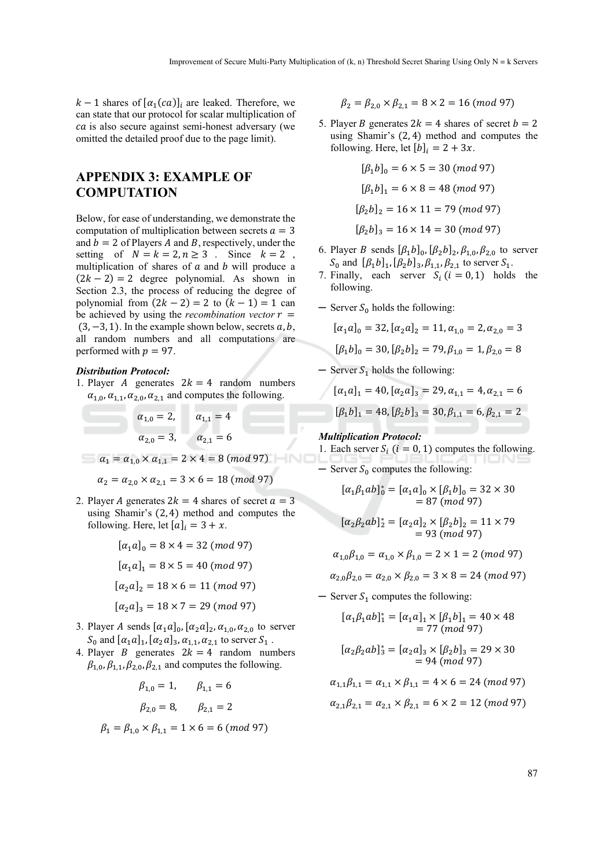$k-1$  shares of  $[\alpha_1(ca)]_i$  are leaked. Therefore, we can state that our protocol for scalar multiplication of ca is also secure against semi-honest adversary (we omitted the detailed proof due to the page limit).

# **APPENDIX 3: EXAMPLE OF COMPUTATION**

Below, for ease of understanding, we demonstrate the computation of multiplication between secrets  $a = 3$ and  $b=2$  of Players A and B, respectively, under the setting of  $N = k = 2, n \ge 3$ . Since  $k = 2$ , multiplication of shares of  $a$  and  $b$  will produce a  $(2k - 2) = 2$  degree polynomial. As shown in Section 2.3, the process of reducing the degree of polynomial from  $(2k - 2) = 2$  to  $(k - 1) = 1$  can be achieved by using the *recombination vector*  $r =$  $(3, -3, 1)$ . In the example shown below, secrets a, b, all random numbers and all computations are performed with  $p = 97$ .

#### *Distribution Protocol:*

1. Player A generates  $2k = 4$  random numbers  $\alpha_{1,0}, \alpha_{1,1}, \alpha_{2,0}, \alpha_{2,1}$  and computes the following.

$$
\alpha_{1,0} = 2,
$$
\n $\alpha_{1,1} = 4$ \n  
\n $\alpha_{2,0} = 3,$ \n $\alpha_{2,1} = 6$ 

 $\alpha_1 = \alpha_{1,0} \times \alpha_{1,1} = 2 \times 4 = 8 \ (mod \ 97)$ 

$$
\alpha_2 = \alpha_{2,0} \times \alpha_{2,1} = 3 \times 6 = 18 \ (mod \ 97)
$$

2. Player A generates  $2k = 4$  shares of secret  $a = 3$ using Shamir's (2, 4) method and computes the following. Here, let  $[a]_i = 3 + x$ .

$$
[\alpha_1 a]_0 = 8 \times 4 = 32 \pmod{97}
$$

$$
[\alpha_1 a]_1 = 8 \times 5 = 40 \pmod{97}
$$

$$
[\alpha_2 a]_2 = 18 \times 6 = 11 \pmod{97}
$$

$$
[\alpha_2 a]_3 = 18 \times 7 = 29 \pmod{97}
$$

- 3. Player A sends  $[\alpha_1 a]_0$ ,  $[\alpha_2 a]_2$ ,  $\alpha_{1,0}$ ,  $\alpha_{2,0}$  to server  $S_0$  and  $\lbrack \alpha_1 a \rbrack_1, \lbrack \alpha_2 a \rbrack_3, \alpha_{1,1}, \alpha_{2,1}$  to server  $S_1$ .
- 4. Player *B* generates  $2k = 4$  random numbers  $\beta_{1,0}, \beta_{1,1}, \beta_{2,0}, \beta_{2,1}$  and computes the following.

 $\beta_{1,0} = 1, \quad \beta_{1,1} = 6$  $\beta_{2.0} = 8, \qquad \beta_{2.1} = 2$  $\beta_1 = \beta_{1,0} \times \beta_{1,1} = 1 \times 6 = 6 \pmod{97}$   $\beta_2 = \beta_{2.0} \times \beta_{2.1} = 8 \times 2 = 16 \pmod{97}$ 

5. Player *B* generates  $2k = 4$  shares of secret  $b = 2$ using Shamir's (2, 4) method and computes the following. Here, let  $[b]_i = 2 + 3x$ .

$$
[\beta_1 b]_0 = 6 \times 5 = 30 \pmod{97}
$$
  

$$
[\beta_1 b]_1 = 6 \times 8 = 48 \pmod{97}
$$
  

$$
[\beta_2 b]_2 = 16 \times 11 = 79 \pmod{97}
$$
  

$$
[\beta_2 b]_3 = 16 \times 14 = 30 \pmod{97}
$$

- 6. Player *B* sends  $[\beta_1 b]_0$ ,  $[\beta_2 b]_2$ ,  $\beta_{1,0}$ ,  $\beta_{2,0}$  to server  $S_0$  and  $\left[\beta_1 b\right]_1$ ,  $\left[\beta_2 b\right]_3$ ,  $\beta_{1,1}$ ,  $\beta_{2,1}$  to server  $S_1$ .
- 7. Finally, each server  $S_i$  ( $i = 0, 1$ ) holds the following.
- $-$  Server  $S_0$  holds the following:

$$
[\alpha_1 a]_0 = 32, [\alpha_2 a]_2 = 11, \alpha_{1,0} = 2, \alpha_{2,0} = 3
$$

$$
[\beta_1 b]_0 = 30, [\beta_2 b]_2 = 79, \beta_{1,0} = 1, \beta_{2,0} = 8
$$

 $-$  Server  $S_1$  holds the following:

$$
[\alpha_1 a]_1 = 40, [\alpha_2 a]_3 = 29, \alpha_{1,1} = 4, \alpha_{2,1} = 6
$$
  

$$
[\beta_1 b]_1 = 48, [\beta_2 b]_3 = 30, \beta_{1,1} = 6, \beta_{2,1} = 2
$$

### *Multiplication Protocol:*

1. Each server  $S_i$  ( $i = 0, 1$ ) computes the following.

 $\sim$  Server  $S_0$  computes the following:

$$
[\alpha_1 \beta_1 ab]_0^* = [\alpha_1 a]_0 \times [\beta_1 b]_0 = 32 \times 30
$$
  
= 87 (mod 97)

$$
[\alpha_2 \beta_2 ab]_2^* = [\alpha_2 a]_2 \times [\beta_2 b]_2 = 11 \times 79
$$
  
= 93 (mod 97)

$$
\alpha_{1,0}\beta_{1,0} = \alpha_{1,0} \times \beta_{1,0} = 2 \times 1 = 2 \ (mod \ 97)
$$

 $\alpha_{2.0}\beta_{2.0} = \alpha_{2.0} \times \beta_{2.0} = 3 \times 8 = 24 \ (mod 97)$ 

 $-$  Server  $S_1$  computes the following:

$$
[\alpha_1 \beta_1 ab]_1^* = [\alpha_1 a]_1 \times [\beta_1 b]_1 = 40 \times 48
$$
  
= 77 (mod 97)

$$
[\alpha_2 \beta_2 ab]_3^* = [\alpha_2 a]_3 \times [\beta_2 b]_3 = 29 \times 30
$$
  
= 94 (mod 97)

$$
\alpha_{1,1}\beta_{1,1} = \alpha_{1,1} \times \beta_{1,1} = 4 \times 6 = 24 \pmod{97}
$$

$$
\alpha_{2,1}\beta_{2,1} = \alpha_{2,1} \times \beta_{2,1} = 6 \times 2 = 12 \pmod{97}
$$